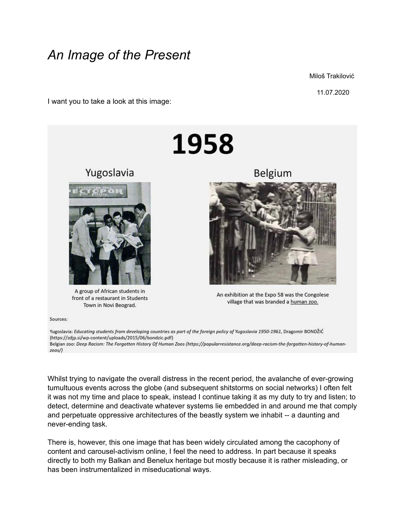## *An Image of the Present*

Miloš Trakilović

11.07.2020

I want you to take a look at this image:



Sources:

Yugoslavia: Educating students from developing countries as part of the foreign policy of Yugoslavia 1950-1961, Dragomir BONDŽIĆ (https://zdjp.si/wp-content/uploads/2015/06/bondzic.pdf) Belgian zoo: Deep Racism: The Forgotten History Of Human Zoos (https://popularresistance.org/deep-racism-the-forgotten-history-of-human $z$ oos/)

Whilst trying to navigate the overall distress in the recent period, the avalanche of ever-growing tumultuous events across the globe (and subsequent shitstorms on social networks) I often felt it was not my time and place to speak, instead I continue taking it as my duty to try and listen; to detect, determine and deactivate whatever systems lie embedded in and around me that comply and perpetuate oppressive architectures of the beastly system we inhabit -- a daunting and never-ending task.

There is, however, this one image that has been widely circulated among the cacophony of content and carousel-activism online, I feel the need to address. In part because it speaks directly to both my Balkan and Benelux heritage but mostly because it is rather misleading, or has been instrumentalized in miseducational ways.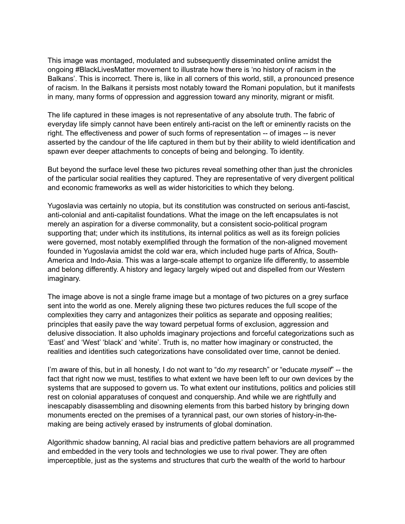This image was montaged, modulated and subsequently disseminated online amidst the ongoing #BlackLivesMatter movement to illustrate how there is 'no history of racism in the Balkans'. This is incorrect. There is, like in all corners of this world, still, a pronounced presence of racism. In the Balkans it persists most notably toward the Romani population, but it manifests in many, many forms of oppression and aggression toward any minority, migrant or misfit.

The life captured in these images is not representative of any absolute truth. The fabric of everyday life simply cannot have been entirely anti-racist on the left or eminently racists on the right. The effectiveness and power of such forms of representation -- of images -- is never asserted by the candour of the life captured in them but by their ability to wield identification and spawn ever deeper attachments to concepts of being and belonging. To identity.

But beyond the surface level these two pictures reveal something other than just the chronicles of the particular social realities they captured. They are representative of very divergent political and economic frameworks as well as wider historicities to which they belong.

Yugoslavia was certainly no utopia, but its constitution was constructed on serious anti-fascist, anti-colonial and anti-capitalist foundations. What the image on the left encapsulates is not merely an aspiration for a diverse commonality, but a consistent socio-political program supporting that; under which its institutions, its internal politics as well as its foreign policies were governed, most notably exemplified through the formation of the non-aligned movement founded in Yugoslavia amidst the cold war era, which included huge parts of Africa, South-America and Indo-Asia. This was a large-scale attempt to organize life differently, to assemble and belong differently. A history and legacy largely wiped out and dispelled from our Western imaginary.

The image above is not a single frame image but a montage of two pictures on a grey surface sent into the world as one. Merely aligning these two pictures reduces the full scope of the complexities they carry and antagonizes their politics as separate and opposing realities; principles that easily pave the way toward perpetual forms of exclusion, aggression and delusive dissociation. It also upholds imaginary projections and forceful categorizations such as 'East' and 'West' 'black' and 'white'. Truth is, no matter how imaginary or constructed, the realities and identities such categorizations have consolidated over time, cannot be denied.

I'm aware of this, but in all honesty, I do not want to "do *my* research" or "educate *myself*" -- the fact that right now we must, testifies to what extent we have been left to our own devices by the systems that are supposed to govern us. To what extent our institutions, politics and policies still rest on colonial apparatuses of conquest and conquership. And while we are rightfully and inescapably disassembling and disowning elements from this barbed history by bringing down monuments erected on the premises of a tyrannical past, our own stories of history-in-themaking are being actively erased by instruments of global domination.

Algorithmic shadow banning, AI racial bias and predictive pattern behaviors are all programmed and embedded in the very tools and technologies we use to rival power. They are often imperceptible, just as the systems and structures that curb the wealth of the world to harbour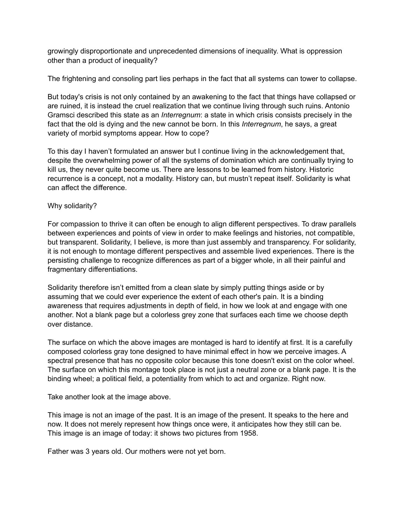growingly disproportionate and unprecedented dimensions of inequality. What is oppression other than a product of inequality?

The frightening and consoling part lies perhaps in the fact that all systems can tower to collapse.

But today's crisis is not only contained by an awakening to the fact that things have collapsed or are ruined, it is instead the cruel realization that we continue living through such ruins. Antonio Gramsci described this state as an *Interregnum*: a state in which crisis consists precisely in the fact that the old is dying and the new cannot be born. In this *Interregnum*, he says, a great variety of morbid symptoms appear. How to cope?

To this day I haven't formulated an answer but I continue living in the acknowledgement that, despite the overwhelming power of all the systems of domination which are continually trying to kill us, they never quite become us. There are lessons to be learned from history. Historic recurrence is a concept, not a modality. History can, but mustn't repeat itself. Solidarity is what can affect the difference.

## Why solidarity?

For compassion to thrive it can often be enough to align different perspectives. To draw parallels between experiences and points of view in order to make feelings and histories, not compatible, but transparent. Solidarity, I believe, is more than just assembly and transparency. For solidarity, it is not enough to montage different perspectives and assemble lived experiences. There is the persisting challenge to recognize differences as part of a bigger whole, in all their painful and fragmentary differentiations.

Solidarity therefore isn't emitted from a clean slate by simply putting things aside or by assuming that we could ever experience the extent of each other's pain. It is a binding awareness that requires adjustments in depth of field, in how we look at and engage with one another. Not a blank page but a colorless grey zone that surfaces each time we choose depth over distance.

The surface on which the above images are montaged is hard to identify at first. It is a carefully composed colorless gray tone designed to have minimal effect in how we perceive images. A spectral presence that has no opposite color because this tone doesn't exist on the color wheel. The surface on which this montage took place is not just a neutral zone or a blank page. It is the binding wheel; a political field, a potentiality from which to act and organize. Right now.

Take another look at the image above.

This image is not an image of the past. It is an image of the present. It speaks to the here and now. It does not merely represent how things once were, it anticipates how they still can be. This image is an image of today: it shows two pictures from 1958.

Father was 3 years old. Our mothers were not yet born.